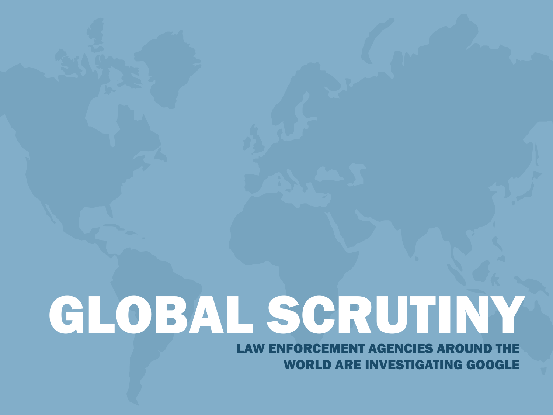# GLOBAL SCRUTINY

LAW ENFORCEMENT AGENCIES AROUND THE WORLD ARE INVESTIGATING GOOGLE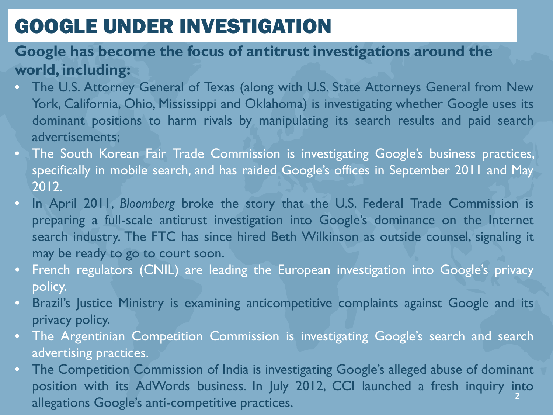## GOOGLE UNDER INVESTIGATION

#### **Google has become the focus of antitrust investigations around the world, including:**

- The U.S. Attorney General of Texas (along with U.S. State Attorneys General from New York, California, Ohio, Mississippi and Oklahoma) is investigating whether Google uses its dominant positions to harm rivals by manipulating its search results and paid search advertisements;
- The South Korean Fair Trade Commission is investigating Google's business practices, specifically in mobile search, and has raided Google's offices in September 2011 and May 2012.
- In April 2011, *Bloomberg* broke the story that the U.S. Federal Trade Commission is preparing a full-scale antitrust investigation into Google's dominance on the Internet search industry. The FTC has since hired Beth Wilkinson as outside counsel, signaling it may be ready to go to court soon.
- French regulators (CNIL) are leading the European investigation into Google's privacy policy.
- Brazil's Justice Ministry is examining anticompetitive complaints against Google and its privacy policy.
- The Argentinian Competition Commission is investigating Google's search and search advertising practices.
- The Competition Commission of India is investigating Google's alleged abuse of dominant position with its AdWords business. In July 2012, CCI launched a fresh inquiry into allegations Google's anti-competitive practices. **2**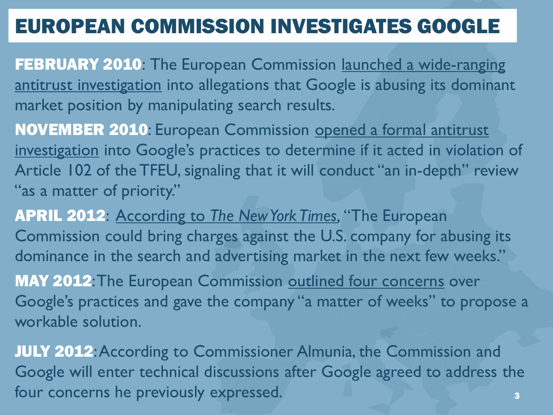## EUROPEAN COMMISSION INVESTIGATES GOOGLE

- FEBRUARY 2010: The European Commission launched a wide-ranging [antitrust investigation](http://techcrunch.com/2010/02/23/eu-antitrust-google-microsoft/) into allegations that Google is abusing its dominant market position by manipulating search results.
- NOVEMBER 2010: European Commission [opened a formal antitrust](http://europa.eu/rapid/pressReleasesAction.do?reference=IP/10/1624)  [investigation](http://europa.eu/rapid/pressReleasesAction.do?reference=IP/10/1624) into Google's practices to determine if it acted in violation of Article 102 of the TFEU, signaling that it will conduct "an in-depth" review "as a matter of priority."
- APRIL 2012: According to *[The New York Times](http://www.nytimes.com/2012/04/25/technology/change-of-tone-could-help-google-in-european-antitrust-case.html?pagewanted=all),* "The European Commission could bring charges against the U.S. company for abusing its dominance in the search and advertising market in the next few weeks."
- MAY 2012: The European Commission [outlined four concerns](http://europa.eu/rapid/pressReleasesAction.do?reference=SPEECH/12/372&format=HTML&aged=0&language=EN&guiLanguage=en) over Google's practices and gave the company "a matter of weeks" to propose a workable solution.
- JULY 2012: According to Commissioner Almunia, the Commission and Google will enter technical discussions after Google agreed to address the four concerns he previously expressed. 3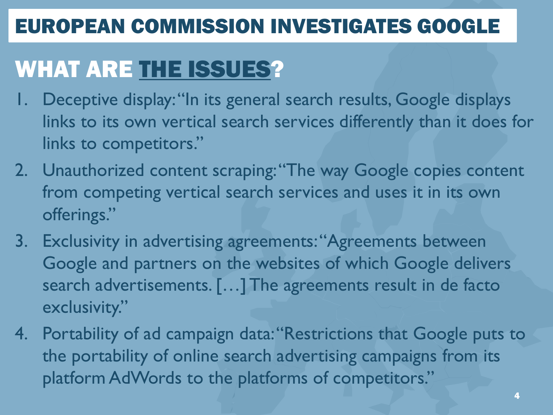## EUROPEAN COMMISSION INVESTIGATES GOOGLE

# WHAT ARE [THE ISSUES?](http://europa.eu/rapid/pressReleasesAction.do?reference=SPEECH/12/372&format=HTML&aged=0&language=EN&guiLanguage=en)

- 1. Deceptive display: "In its general search results, Google displays links to its own vertical search services differently than it does for links to competitors."
- 2. Unauthorized content scraping: "The way Google copies content from competing vertical search services and uses it in its own offerings."
- 3. Exclusivity in advertising agreements: "Agreements between Google and partners on the websites of which Google delivers search advertisements. [...] The agreements result in de facto exclusivity."
- 4. Portability of ad campaign data: "Restrictions that Google puts to the portability of online search advertising campaigns from its platform AdWords to the platforms of competitors."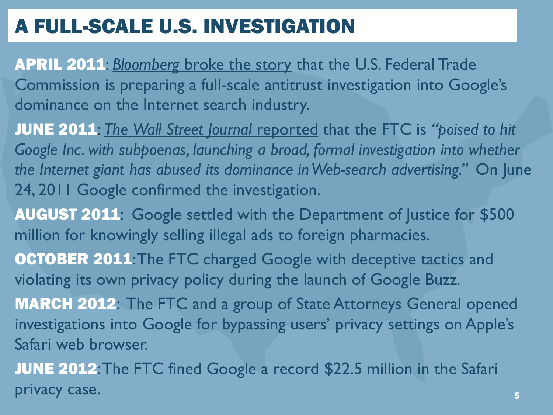# A FULL-SCALE U.S. INVESTIGATION

- APRIL 2011: *Bloomberg* [broke the story](http://www.bloomberg.com/news/2011-04-05/google-said-to-be-possible-target-of-antitrust-probe-after-ita-acquisition.html) that the U.S. Federal Trade Commission is preparing a full-scale antitrust investigation into Google's dominance on the Internet search industry.
- JUNE 2011: *The [Wall Street Journal](http://online.wsj.com/article/SB10001424052702303339904576403603764717680.html)* reported that the FTC is *"poised to hit*  Google Inc. with subpoenas, launching a broad, formal investigation into whether *the Internet giant has abused its dominance in Web-search advertising."* On June 24, 2011 Google confirmed the investigation.
- AUGUST 2011: Google settled with the Department of Justice for \$500 million for knowingly selling illegal ads to foreign pharmacies.
- **OCTOBER 2011: The FTC charged Google with deceptive tactics and** violating its own privacy policy during the launch of Google Buzz.
- MARCH 2012: The FTC and a group of State Attorneys General opened investigations into Google for bypassing users' privacy settings on Apple's Safari web browser.
- JUNE 2012: The FTC fined Google a record \$22.5 million in the Safari privacy case. The set of the set of the set of the set of the set of the set of the set of the set of the set o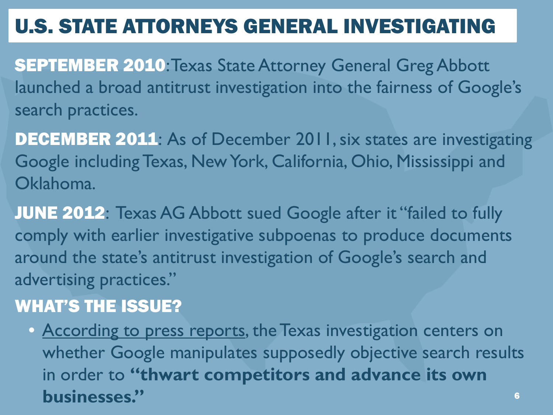# U.S. STATE ATTORNEYS GENERAL INVESTIGATING

- SEPTEMBER 2010: Texas State Attorney General Greg Abbott launched a broad antitrust investigation into the fairness of Google's search practices.
- DECEMBER 2011: As of December 2011, six states are investigating Google including Texas, New York, California, Ohio, Mississippi and Oklahoma.
- JUNE 2012: Texas AG Abbott sued Google after it "failed to fully comply with earlier investigative subpoenas to produce documents around the state's antitrust investigation of Google's search and advertising practices."

#### WHAT'S THE ISSUE?

6 • [According to press reports](http://www.nytimes.com/2010/09/04/technology/04google.html), the Texas investigation centers on whether Google manipulates supposedly objective search results in order to **"thwart competitors and advance its own businesses."**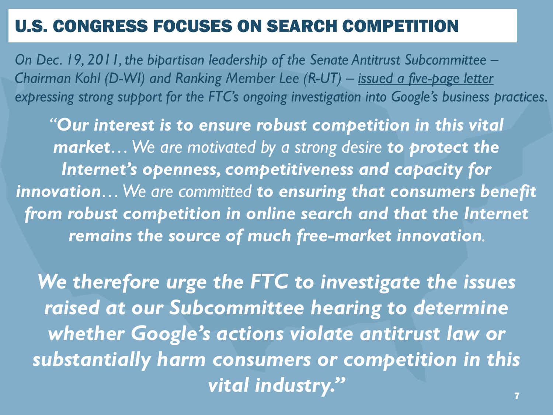#### U.S. CONGRESS FOCUSES ON SEARCH COMPETITION

*On Dec. 19, 2011, the bipartisan leadership of the Senate Antitrust Subcommittee – Chairman Kohl (D-WI) and Ranking Member Lee (R-UT) – [issued a five-page letter](http://www.fairsearch.org/wp-content/uploads/2011/12/Google-FTC-Letter-12-19-11.pdf)  expressing strong support for the FTC's ongoing investigation into Google's business practices.* 

*"Our interest is to ensure robust competition in this vital market… We are motivated by a strong desire to protect the Internet's openness, competitiveness and capacity for innovation… We are committed to ensuring that consumers benefit from robust competition in online search and that the Internet remains the source of much free-market innovation.* 

*We therefore urge the FTC to investigate the issues raised at our Subcommittee hearing to determine whether Google's actions violate antitrust law or substantially harm consumers or competition in this vital industry."*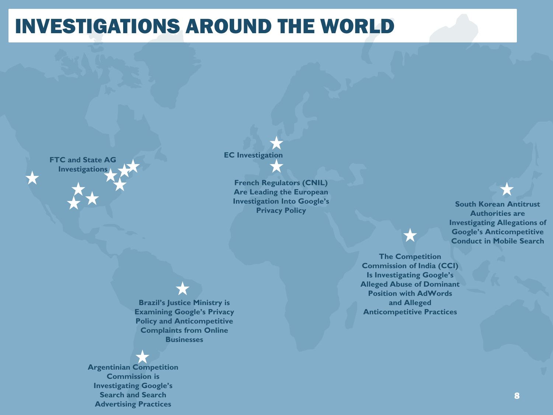#### INVESTIGATIONS AROUND THE WORLD

**Investigations** 

#### **EC Investigation FTC and State AG**

**French Regulators (CNIL) Are Leading the European Investigation Into Google's Privacy Policy**

**Brazil's Justice Ministry is Examining Google's Privacy Policy and Anticompetitive Complaints from Online** 

**Businesses** 

**Argentinian Competition Commission is Investigating Google's Search and Search Advertising Practices**

**South Korean Antitrust Authorities are Investigating Allegations of Google's Anticompetitive Conduct in Mobile Search**

**The Competition Commission of India (CCI) Is Investigating Google's Alleged Abuse of Dominant Position with AdWords and Alleged Anticompetitive Practices**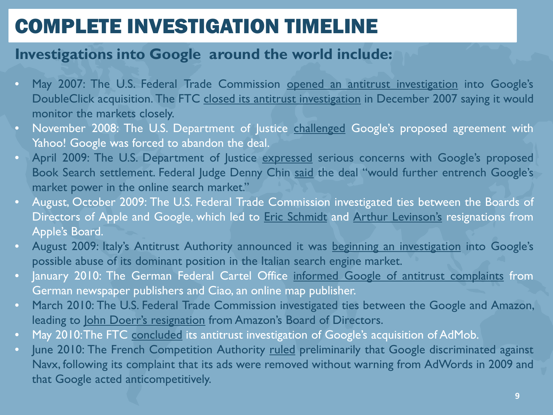- May 2007: The U.S. Federal Trade Commission opened an antitrust [investigation](http://www.nytimes.com/2007/05/29/technology/29antitrust.html?_r=2) into Google's DoubleClick acquisition. The FTC closed its antitrust [investigation](http://www.ftc.gov/opa/2007/12/googledc.shtm) in December 2007 saying it would monitor the markets closely.
- November 2008: The U.S. Department of Justice [challenged](http://www.reuters.com/article/2008/11/05/us-yahoo-google-idUSTRE49U0C620081105) Google's proposed agreement with Yahoo! Google was forced to abandon the deal.
- April 2009: The U.S. Department of Justice [expressed](http://www.nytimes.com/2009/04/29/technology/internet/29google.html) serious concerns with Google's proposed Book Search settlement. Federal Judge Denny Chin [said](http://www.pcmag.com/article2/0,2817,2382404,00.asp) the deal "would further entrench Google's market power in the online search market."
- August, October 2009: The U.S. Federal Trade Commission investigated ties between the Boards of Directors of Apple and Google, which led to **Eric [Schmidt](http://online.wsj.com/article/SB124930285423801287.html)** and Arthur [Levinson's](http://www.reuters.com/article/2009/10/12/us-google-idUSTRE59B2R120091012) resignations from Apple's Board.
- August 2009: Italy's Antitrust Authority announced it was beginning an [investigation](http://www.pcworld.com/businesscenter/article/171003/italy_scrutinizes_google_news_for_antitrust_violations.html) into Google's possible abuse of its dominant position in the Italian search engine market.
- January 2010: The German Federal Cartel Office informed Google of antitrust [complaints](http://www.nytimes.com/2010/01/19/technology/19antitrust.html) from German newspaper publishers and Ciao, an online map publisher.
- March 2010: The U.S. Federal Trade Commission investigated ties between the Google and Amazon, leading to John Doerr's [resignation](http://bits.blogs.nytimes.com/2010/04/01/f-t-c-is-said-to-have-looked-into-amazon-google-ties/?src=twt&twt=nytimesbusiness) from Amazon's Board of Directors.
- May 2010: The FTC [concluded](http://www.ftc.gov/opa/2010/05/ggladmob.shtm) its antitrust investigation of Google's acquisition of AdMob.
- June 2010: The French Competition Authority [ruled](http://online.wsj.com/article/SB10001424052748704334604575338983703818768.html) preliminarily that Google discriminated against Navx, following its complaint that its ads were removed without warning from AdWords in 2009 and that Google acted anticompetitively.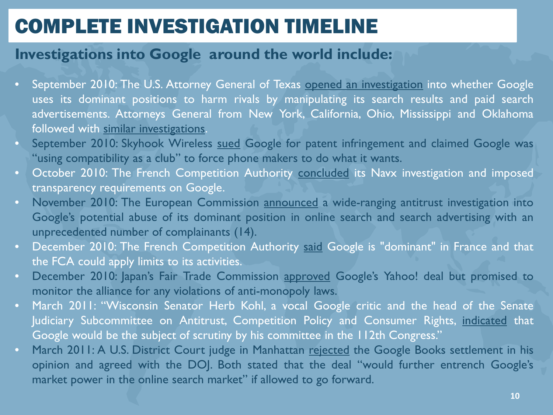- September 2010: The U.S. Attorney General of Texas opened an [investigation](http://www.nytimes.com/2010/09/04/technology/04google.html) into whether Google uses its dominant positions to harm rivals by manipulating its search results and paid search advertisements. Attorneys General from New York, California, Ohio, Mississippi and Oklahoma followed with similar [investigations](http://www.consumerwatchdog.org/node/12612).
- September 2010: Skyhook Wireless [sued](http://searchengineland.com/skyhook-wireless-sues-google-you-lie-about-openness-50902) Google for patent infringement and claimed Google was "using compatibility as a club" to force phone makers to do what it wants.
- October 2010: The French Competition Authority [concluded](http://www.bloomberg.com/news/2010-10-28/google-settles-french-inquiry-of-map-service-complaint-update1-.html) its Navx investigation and imposed transparency requirements on Google.
- November 2010: The European Commission [announced](http://www.reuters.com/article/2011/09/16/us-eu-google-idUSTRE78F14K20110916) a wide-ranging antitrust investigation into Google's potential abuse of its dominant position in online search and search advertising with an unprecedented number of complainants (14).
- December 2010: The French Competition Authority [said](http://www.dw.de/dw/article/0,,6326700,00.html) Google is "dominant" in France and that the FCA could apply limits to its activities.
- December 2010: Japan's Fair Trade Commission [approved](http://searchengineland.com/google-yahoo-deal-is-cleared-in-japan-57530) Google's Yahoo! deal but promised to monitor the alliance for any violations of anti-monopoly laws.
- March 2011: "Wisconsin Senator Herb Kohl, a vocal Google critic and the head of the Senate Judiciary Subcommittee on Antitrust, Competition Policy and Consumer Rights, [indicated](http://searchengineland.com/senator-signals-closer-anti-trust-look-at-google-this-year-67804) that Google would be the subject of scrutiny by his committee in the 112th Congress."
- March 2011: A U.S. District Court judge in Manhattan [rejected](http://online.wsj.com/article/SB10001424052748704461304576216923562033348.html) the Google Books settlement in his opinion and agreed with the DOJ. Both stated that the deal "would further entrench Google's market power in the online search market" if allowed to go forward.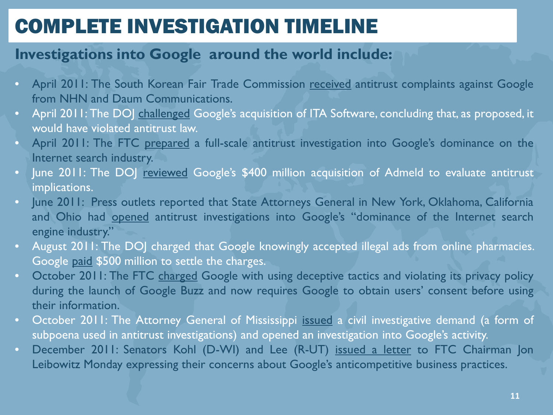- April 2011: The South Korean Fair Trade Commission [received](http://www.ft.com/intl/cms/s/2/87d15ac0-673d-11e0-9bb8-00144feab49a.html) antitrust complaints against Google from NHN and Daum Communications.
- April 2011: The DOJ [challenged](http://money.cnn.com/2011/04/08/technology/google_ita/index.htm) Google's acquisition of ITA Software, concluding that, as proposed, it would have violated antitrust law.
- April 2011: The FTC [prepared](http://www.bloomberg.com/news/2011-04-05/google-said-to-be-possible-target-of-antitrust-probe-after-ita-acquisition.html) a full-scale antitrust investigation into Google's dominance on the Internet search industry.
- June 2011: The DOJ [reviewed](http://online.wsj.com/article/SB10001424052702303635604576391972711586988.html) Google's \$400 million acquisition of Admeld to evaluate antitrust implications.
- June 2011: Press outlets reported that State Attorneys General in New York, Oklahoma, California and Ohio had [opened](http://mobile.bloomberg.com/news/2011-06-24/california-new-york-said-to-start-antitrust-probe-of-google-s-dominance) antitrust investigations into Google's "dominance of the Internet search engine industry."
- August 2011: The DOJ charged that Google knowingly accepted illegal ads from online pharmacies. Google [paid](http://online.wsj.com/article/SB10001424053111904787404576528332418595052.html) \$500 million to settle the charges.
- October 2011: The FTC [charged](http://www.ftc.gov/opa/2011/03/google.shtm) Google with using deceptive tactics and violating its privacy policy during the launch of Google Buzz and now requires Google to obtain users' consent before using their information.
- October 2011: The Attorney General of Mississippi [issued](http://www.bloomberg.com/news/2011-10-27/google-spent-151-million-on-zagat-review-service-last-quarter.html) a civil investigative demand (a form of subpoena used in antitrust investigations) and opened an investigation into Google's activity.
- December 2011: Senators Kohl (D-WI) and Lee (R-UT) [issued](http://kohl.senate.gov/newsroom/pressrelease.cfm?customel_dataPageID_1464=4871) a letter to FTC Chairman Jon Leibowitz Monday expressing their concerns about Google's anticompetitive business practices.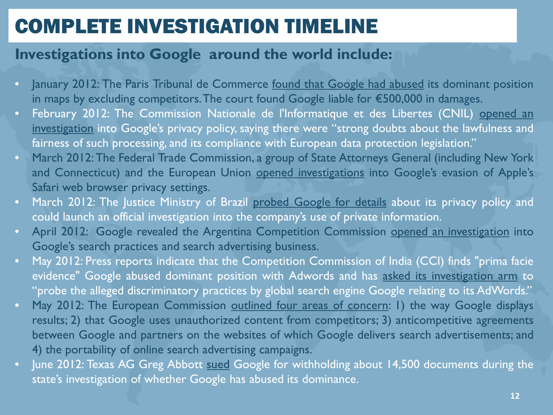- <sup>o</sup> January 2012: The Paris Tribunal de Commerce <u>found that [Google](http://blogs.ft.com/tech-blog/2012/02/french-court-fines-google-over-mapping/) had abused</u> its dominant position in maps by excluding competitors.The court found Google liable for €500,000 in damages.
- February 2012: The Commission Nationale de l'Informatique et des Libertes (CNIL) [opened](http://mobile.reuters.com/article/governmentFilingsNews/idUSL5E8DT1DD20120229?feedType=RSS&feedName=governmentFilingsNews) an [investigation](http://mobile.reuters.com/article/governmentFilingsNews/idUSL5E8DT1DD20120229?feedType=RSS&feedName=governmentFilingsNews) into Google's privacy policy, saying there were "strong doubts about the lawfulness and fairness of such processing, and its compliance with European data protection legislation."
- March 2012:The Federal Trade Commission, a group of State Attorneys General (including New York and Connecticut) and the European Union opened [investigations](http://online.wsj.com/article/SB10001424052702304692804577283821586827892.html) into Google's evasion of Apple's Safari web browser privacy settings.
- March 2012: The Justice Ministry of Brazil probed [Google](http://tech2.in.com/news/general/brazil-questions-googles-new-privacy-policy/288422) for details about its privacy policy and could launch an official investigation into the company's use of private information.
- April 2012: Google revealed the Argentina Competition Commission opened an [investigation](http://www.bloomberg.com/news/2012-04-27/google-says-it-s-being-investigated-in-argentina-korea.html) into Google's search practices and search advertising business.
- May 2012: Press reports indicate that the Competition Commission of India (CCI) finds "prima facie evidence" Google abused dominant position with Adwords and has asked its [investigation](http://articles.economictimes.indiatimes.com/2012-05-06/news/31597590_1_google-s-adwords-google-spokesperson-bharatmatrimony) arm to "probe the alleged discriminatory practices by global search engine Google relating to its AdWords."
- May 2012: The European Commission outlined four areas of [concern:](http://europa.eu/rapid/pressReleasesAction.do?reference=SPEECH/12/372&format=HTML&aged=0&language=EN&guiLanguage=en) 1) the way Google displays results; 2) that Google uses unauthorized content from competitors; 3) anticompetitive agreements between Google and partners on the websites of which Google delivers search advertisements; and 4) the portability of online search advertising campaigns.
- June 2012: Texas AG Greg Abbott [sued](http://professional.wsj.com/article/SB10001424052702304898704577480650238918524.html?mg=reno64-wsj) Google for withholding about 14,500 documents during the state's investigation of whether Google has abused its dominance.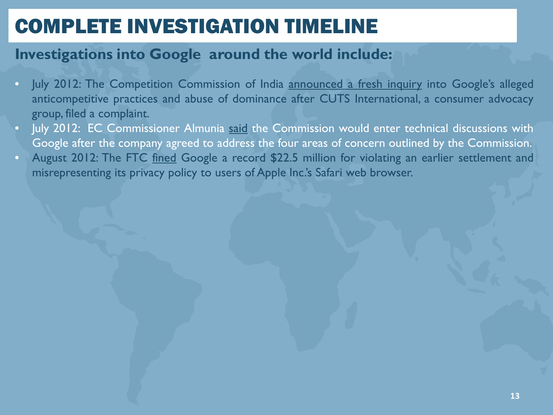- July 2012: The Competition Commission of India [announced](http://articles.timesofindia.indiatimes.com/2012-07-09/internet/32603788_1_competition-panel-search-engine-search-results) a fresh inquiry into Google's alleged anticompetitive practices and abuse of dominance after CUTS International, a consumer advocacy group, filed a complaint.
- July 2012: EC Commissioner Almunia [said](http://www.vieuws.eu/issues/1-eu-competition/15-eu-competition/394-competition-commissioner-almunia-on-google-antitrust-case/) the Commission would enter technical discussions with Google after the company agreed to address the four areas of concern outlined by the Commission.
- August 2012: The FTC [fined](http://www.ftc.gov/opa/2012/08/google.shtm) Google a record \$22.5 million for violating an earlier settlement and misrepresenting its privacy policy to users of Apple Inc.'s Safari web browser.